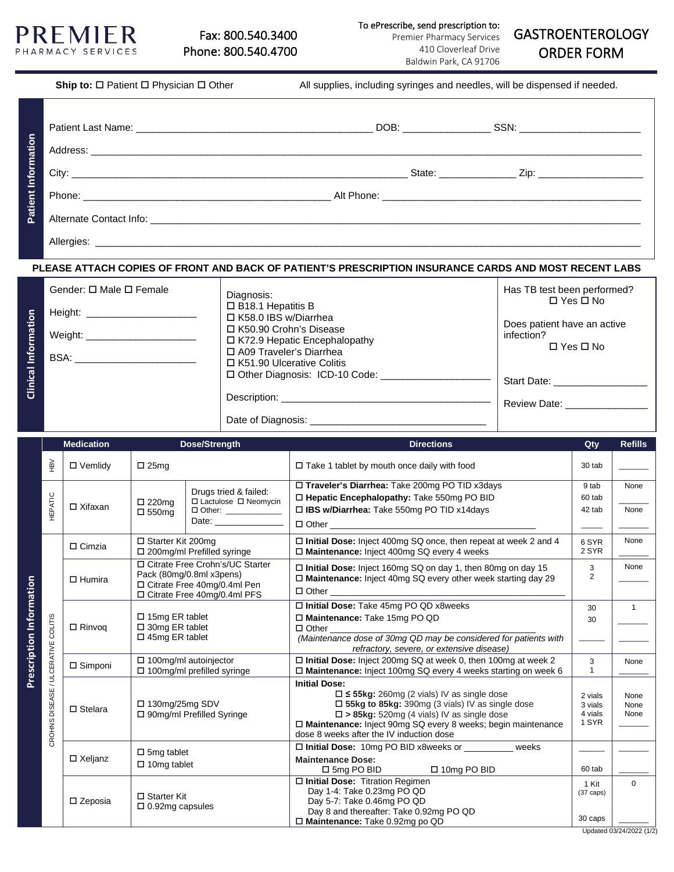

To ePrescribe, send prescription to:

Premier Pharmacy Services 410 Cloverleaf Drive Baldwin Park, CA 91706

# GASTROENTEROLOGY ORDER FORM

|                     | Ship to: $\Box$ Patient $\Box$ Physician $\Box$ Other | All supplies, including syringes and needles, will be dispensed if needed. |
|---------------------|-------------------------------------------------------|----------------------------------------------------------------------------|
| Patient Information |                                                       |                                                                            |
|                     |                                                       |                                                                            |
|                     |                                                       |                                                                            |
|                     |                                                       |                                                                            |
|                     |                                                       |                                                                            |
|                     | . ____ _ _                                            |                                                                            |

### **PLEASE ATTACH COPIES OF FRONT AND BACK OF PATIENT'S PRESCRIPTION INSURANCE CARDS AND MOST RECENT LABS**

|            | Gender: $\Box$ Male $\Box$ Female                                                                                                                                                                                                   | Diagnosis:                                                      | Has TB test been performed?<br>$\Box$ Yes $\Box$ No               |  |
|------------|-------------------------------------------------------------------------------------------------------------------------------------------------------------------------------------------------------------------------------------|-----------------------------------------------------------------|-------------------------------------------------------------------|--|
| nformation |                                                                                                                                                                                                                                     | □ B18.1 Hepatitis B<br>□ K58.0 IBS w/Diarrhea                   |                                                                   |  |
|            | Weight:                                                                                                                                                                                                                             | □ K50.90 Crohn's Disease<br>$\Box$ K72.9 Hepatic Encephalopathy | Does patient have an active<br>infection?<br>$\Box$ Yes $\Box$ No |  |
|            | <b>BSA:</b> The contract of the contract of the contract of the contract of the contract of the contract of the contract of the contract of the contract of the contract of the contract of the contract of the contract of the con | □ A09 Traveler's Diarrhea<br>$\Box$ K51.90 Ulcerative Colitis   |                                                                   |  |
| Clinical   |                                                                                                                                                                                                                                     | $\Box$ Other Diagnosis: ICD-10 Code:                            | Start Date: _______________                                       |  |
|            |                                                                                                                                                                                                                                     |                                                                 | Review Date: 2000                                                 |  |
|            |                                                                                                                                                                                                                                     | Date of Diagnosis: 2008. [19] Date of Diagnosis:                |                                                                   |  |

|                          |                                | <b>Medication</b><br>Dose/Strength |                                                                                                                                 |                                                                   | <b>Directions</b>                                                                                                                                                                                                                                                                                               | Qty                                     | <b>Refills</b>                       |
|--------------------------|--------------------------------|------------------------------------|---------------------------------------------------------------------------------------------------------------------------------|-------------------------------------------------------------------|-----------------------------------------------------------------------------------------------------------------------------------------------------------------------------------------------------------------------------------------------------------------------------------------------------------------|-----------------------------------------|--------------------------------------|
|                          | ΗÑ                             | $\Box$ Vemlidy                     | $\square$ 25mg                                                                                                                  |                                                                   | $\Box$ Take 1 tablet by mouth once daily with food                                                                                                                                                                                                                                                              | 30 tab                                  |                                      |
|                          | HEPATIC                        | $\Box$ Xifaxan                     | □ 220mg                                                                                                                         | Drugs tried & failed:<br>□ Lactulose □ Neomycin                   | □ Traveler's Diarrhea: Take 200mg PO TID x3days<br>□ Hepatic Encephalopathy: Take 550mg PO BID                                                                                                                                                                                                                  | 9 tab<br>60 tab<br>42 tab               | None<br>None                         |
|                          |                                |                                    | $\square$ 550mg                                                                                                                 | □ Other: _____________<br>Date: <u>_______________</u>            | □ IBS w/Diarrhea: Take 550mg PO TID x14days                                                                                                                                                                                                                                                                     |                                         |                                      |
|                          |                                | $\Box$ Cimzia                      | □ Starter Kit 200mg<br>□ 200mg/ml Prefilled syringe                                                                             |                                                                   | □ Initial Dose: Inject 400mg SQ once, then repeat at week 2 and 4<br>□ Maintenance: Inject 400mg SQ every 4 weeks                                                                                                                                                                                               | 6 SYR<br>2 SYR                          | None                                 |
|                          |                                | $\Box$ Humira                      | □ Citrate Free Crohn's/UC Starter<br>Pack (80mg/0.8ml x3pens)<br>□ Citrate Free 40mg/0.4ml Pen<br>□ Citrate Free 40mg/0.4ml PFS |                                                                   | □ Initial Dose: Inject 160mg SQ on day 1, then 80mg on day 15<br>□ Maintenance: Inject 40mg SQ every other week starting day 29<br>$\Box$ Other                                                                                                                                                                 | 3<br>$\overline{2}$                     | None                                 |
| Prescription Information | COLITIS                        | $\Box$ Rinvoq                      | $\Box$ 15mg ER tablet<br>$\square$ 30mg ER tablet<br>$\Box$ 45mg ER tablet                                                      |                                                                   | □ Initial Dose: Take 45mg PO QD x8weeks<br>□ Maintenance: Take 15mg PO QD<br>$\Box$ Other<br>(Maintenance dose of 30mg QD may be considered for patients with<br>refractory, severe, or extensive disease)                                                                                                      | 30<br>30                                | $\mathbf{1}$                         |
|                          | / ULCERATIVE<br>CROHNS DISEASE | $\square$ Simponi                  |                                                                                                                                 | $\Box$ 100mg/ml autoinjector<br>$\Box$ 100mg/ml prefilled syringe | $\Box$ Initial Dose: Inject 200mg SQ at week 0, then 100mg at week 2<br>□ Maintenance: Inject 100mg SQ every 4 weeks starting on week 6                                                                                                                                                                         | 3<br>$\mathbf{1}$                       | None                                 |
|                          |                                | $\square$ Stelara                  | $\Box$ 130mg/25mg SDV                                                                                                           | □ 90mg/ml Prefilled Syringe                                       | <b>Initial Dose:</b><br>$\square$ $\leq$ 55kg: 260mg (2 vials) IV as single dose<br>$\Box$ 55kg to 85kg: 390mg (3 vials) IV as single dose<br>$\square$ > 85kg: 520mg (4 vials) IV as single dose<br>□ Maintenance: Inject 90mg SQ every 8 weeks; begin maintenance<br>dose 8 weeks after the IV induction dose | 2 vials<br>3 vials<br>4 vials<br>1 SYR  | None<br>None<br>None                 |
|                          |                                | $\Box$ Xeljanz                     | $\square$ 5mg tablet<br>$\Box$ 10mg tablet                                                                                      |                                                                   | □ Initial Dose: 10mg PO BID x8weeks or _________ weeks<br><b>Maintenance Dose:</b><br>□ 10mg PO BID<br>$\Box$ 5mg PO BID                                                                                                                                                                                        | 60 tab                                  |                                      |
|                          |                                | □ Zeposia                          | $\square$ Starter Kit<br>$\Box$ 0.92mg capsules                                                                                 |                                                                   | □ Initial Dose: Titration Regimen<br>Day 1-4: Take 0.23mg PO QD<br>Day 5-7: Take 0.46mg PO QD<br>Day 8 and thereafter: Take 0.92mg PO QD<br>□ Maintenance: Take 0.92mg po QD                                                                                                                                    | 1 Kit<br>$(37 \text{ caps})$<br>30 caps | $\Omega$<br>Updated 03/24/2022 (1/2) |